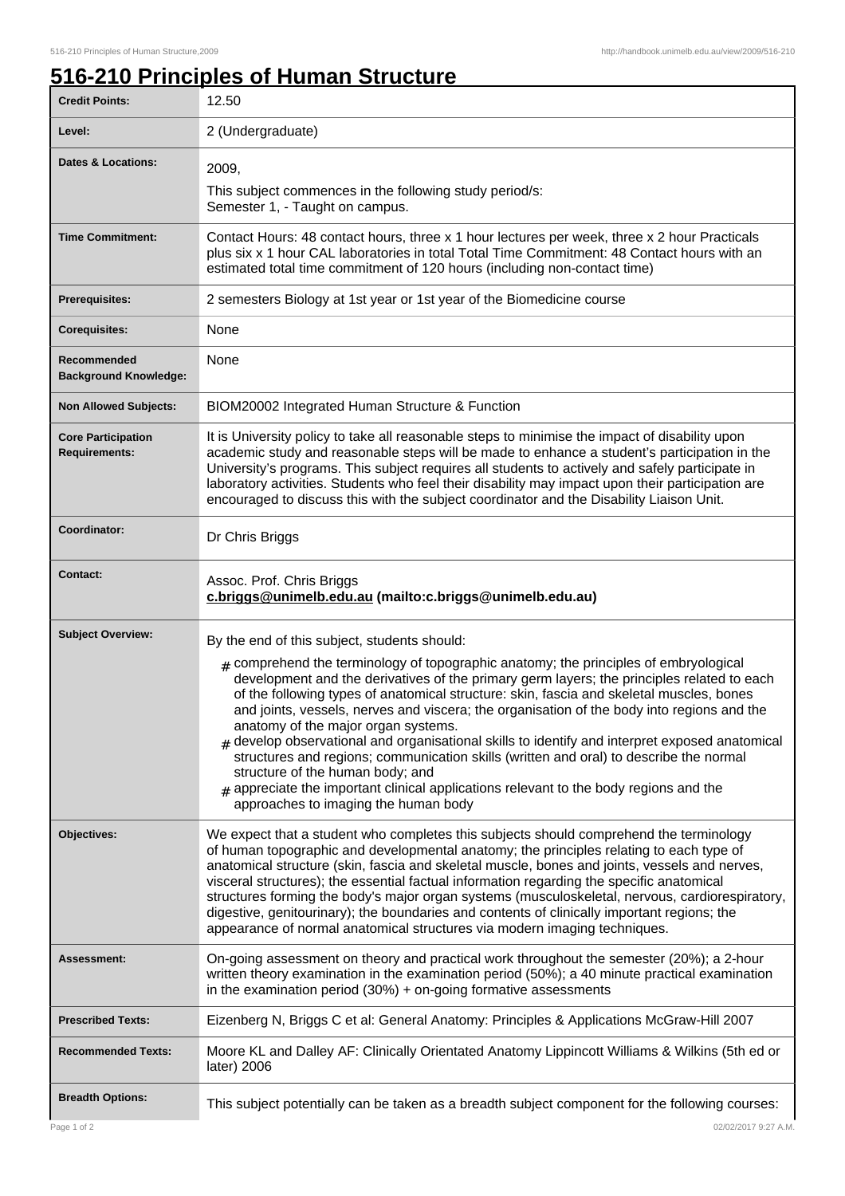٦

## **516-210 Principles of Human Structure**

| <b>Credit Points:</b>                             | 12.50                                                                                                                                                                                                                                                                                                                                                                                                                                                                                                                                                                                                                                                                                                                                                                                                                                                                |
|---------------------------------------------------|----------------------------------------------------------------------------------------------------------------------------------------------------------------------------------------------------------------------------------------------------------------------------------------------------------------------------------------------------------------------------------------------------------------------------------------------------------------------------------------------------------------------------------------------------------------------------------------------------------------------------------------------------------------------------------------------------------------------------------------------------------------------------------------------------------------------------------------------------------------------|
| Level:                                            | 2 (Undergraduate)                                                                                                                                                                                                                                                                                                                                                                                                                                                                                                                                                                                                                                                                                                                                                                                                                                                    |
| <b>Dates &amp; Locations:</b>                     | 2009,<br>This subject commences in the following study period/s:<br>Semester 1, - Taught on campus.                                                                                                                                                                                                                                                                                                                                                                                                                                                                                                                                                                                                                                                                                                                                                                  |
| <b>Time Commitment:</b>                           | Contact Hours: 48 contact hours, three x 1 hour lectures per week, three x 2 hour Practicals<br>plus six x 1 hour CAL laboratories in total Total Time Commitment: 48 Contact hours with an<br>estimated total time commitment of 120 hours (including non-contact time)                                                                                                                                                                                                                                                                                                                                                                                                                                                                                                                                                                                             |
| <b>Prerequisites:</b>                             | 2 semesters Biology at 1st year or 1st year of the Biomedicine course                                                                                                                                                                                                                                                                                                                                                                                                                                                                                                                                                                                                                                                                                                                                                                                                |
| <b>Corequisites:</b>                              | None                                                                                                                                                                                                                                                                                                                                                                                                                                                                                                                                                                                                                                                                                                                                                                                                                                                                 |
| Recommended<br><b>Background Knowledge:</b>       | None                                                                                                                                                                                                                                                                                                                                                                                                                                                                                                                                                                                                                                                                                                                                                                                                                                                                 |
| <b>Non Allowed Subjects:</b>                      | BIOM20002 Integrated Human Structure & Function                                                                                                                                                                                                                                                                                                                                                                                                                                                                                                                                                                                                                                                                                                                                                                                                                      |
| <b>Core Participation</b><br><b>Requirements:</b> | It is University policy to take all reasonable steps to minimise the impact of disability upon<br>academic study and reasonable steps will be made to enhance a student's participation in the<br>University's programs. This subject requires all students to actively and safely participate in<br>laboratory activities. Students who feel their disability may impact upon their participation are<br>encouraged to discuss this with the subject coordinator and the Disability Liaison Unit.                                                                                                                                                                                                                                                                                                                                                                   |
| Coordinator:                                      | Dr Chris Briggs                                                                                                                                                                                                                                                                                                                                                                                                                                                                                                                                                                                                                                                                                                                                                                                                                                                      |
| <b>Contact:</b>                                   | Assoc. Prof. Chris Briggs<br>c.briggs@unimelb.edu.au (mailto:c.briggs@unimelb.edu.au)                                                                                                                                                                                                                                                                                                                                                                                                                                                                                                                                                                                                                                                                                                                                                                                |
| <b>Subject Overview:</b>                          | By the end of this subject, students should:<br>$_{\text{\#}}$ comprehend the terminology of topographic anatomy; the principles of embryological<br>development and the derivatives of the primary germ layers; the principles related to each<br>of the following types of anatomical structure: skin, fascia and skeletal muscles, bones<br>and joints, vessels, nerves and viscera; the organisation of the body into regions and the<br>anatomy of the major organ systems.<br>$_{\#}$ develop observational and organisational skills to identify and interpret exposed anatomical<br>structures and regions; communication skills (written and oral) to describe the normal<br>structure of the human body; and<br>$_{\text{\#}}$ appreciate the important clinical applications relevant to the body regions and the<br>approaches to imaging the human body |
| Objectives:                                       | We expect that a student who completes this subjects should comprehend the terminology<br>of human topographic and developmental anatomy; the principles relating to each type of<br>anatomical structure (skin, fascia and skeletal muscle, bones and joints, vessels and nerves,<br>visceral structures); the essential factual information regarding the specific anatomical<br>structures forming the body's major organ systems (musculoskeletal, nervous, cardiorespiratory,<br>digestive, genitourinary); the boundaries and contents of clinically important regions; the<br>appearance of normal anatomical structures via modern imaging techniques.                                                                                                                                                                                                       |
| <b>Assessment:</b>                                | On-going assessment on theory and practical work throughout the semester (20%); a 2-hour<br>written theory examination in the examination period (50%); a 40 minute practical examination<br>in the examination period $(30%) +$ on-going formative assessments                                                                                                                                                                                                                                                                                                                                                                                                                                                                                                                                                                                                      |
| <b>Prescribed Texts:</b>                          | Eizenberg N, Briggs C et al: General Anatomy: Principles & Applications McGraw-Hill 2007                                                                                                                                                                                                                                                                                                                                                                                                                                                                                                                                                                                                                                                                                                                                                                             |
| <b>Recommended Texts:</b>                         | Moore KL and Dalley AF: Clinically Orientated Anatomy Lippincott Williams & Wilkins (5th ed or<br>later) 2006                                                                                                                                                                                                                                                                                                                                                                                                                                                                                                                                                                                                                                                                                                                                                        |
| <b>Breadth Options:</b>                           | This subject potentially can be taken as a breadth subject component for the following courses:                                                                                                                                                                                                                                                                                                                                                                                                                                                                                                                                                                                                                                                                                                                                                                      |
| Page 1 of 2                                       | 02/02/2017 9:27 A.M.                                                                                                                                                                                                                                                                                                                                                                                                                                                                                                                                                                                                                                                                                                                                                                                                                                                 |